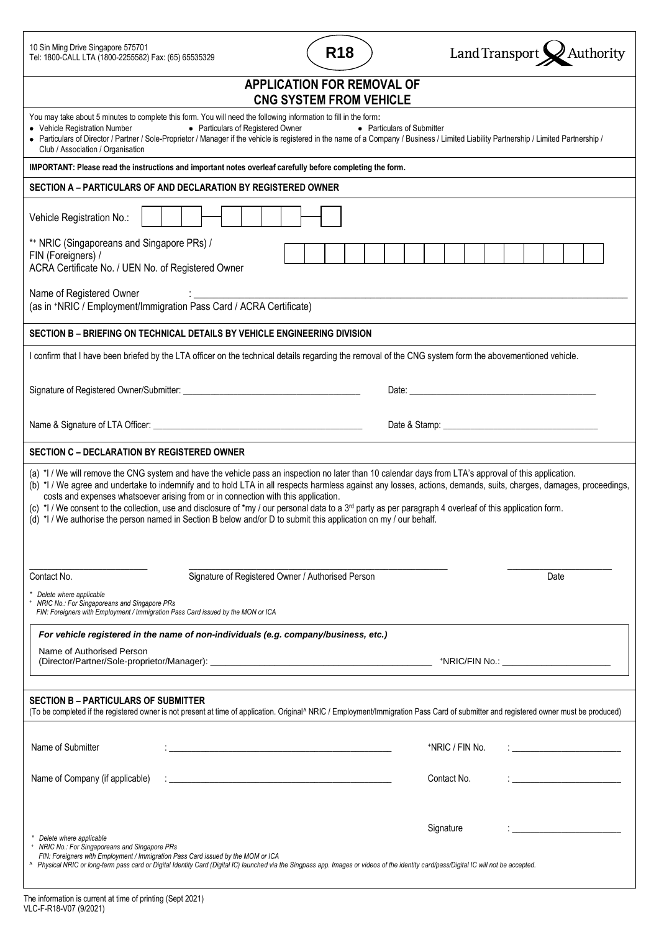| 10 Sin Ming Drive Singapore 575701<br>Tel: 1800-CALL LTA (1800-2255582) Fax: (65) 65535329                                                                                                                                                                                                                                                                                                                                                                                                                                                                                                                                                                                                                      | <b>R18</b>                 | Land Transport X Authority                             |
|-----------------------------------------------------------------------------------------------------------------------------------------------------------------------------------------------------------------------------------------------------------------------------------------------------------------------------------------------------------------------------------------------------------------------------------------------------------------------------------------------------------------------------------------------------------------------------------------------------------------------------------------------------------------------------------------------------------------|----------------------------|--------------------------------------------------------|
| <b>APPLICATION FOR REMOVAL OF</b><br><b>CNG SYSTEM FROM VEHICLE</b>                                                                                                                                                                                                                                                                                                                                                                                                                                                                                                                                                                                                                                             |                            |                                                        |
| You may take about 5 minutes to complete this form. You will need the following information to fill in the form:<br>• Particulars of Registered Owner<br>• Vehicle Registration Number<br>· Particulars of Director / Partner / Sole-Proprietor / Manager if the vehicle is registered in the name of a Company / Business / Limited Liability Partnership / Limited Partnership /<br>Club / Association / Organisation                                                                                                                                                                                                                                                                                         | • Particulars of Submitter |                                                        |
| IMPORTANT: Please read the instructions and important notes overleaf carefully before completing the form.                                                                                                                                                                                                                                                                                                                                                                                                                                                                                                                                                                                                      |                            |                                                        |
| SECTION A - PARTICULARS OF AND DECLARATION BY REGISTERED OWNER                                                                                                                                                                                                                                                                                                                                                                                                                                                                                                                                                                                                                                                  |                            |                                                        |
| Vehicle Registration No.:                                                                                                                                                                                                                                                                                                                                                                                                                                                                                                                                                                                                                                                                                       |                            |                                                        |
| *+ NRIC (Singaporeans and Singapore PRs) /<br>FIN (Foreigners) /<br>ACRA Certificate No. / UEN No. of Registered Owner                                                                                                                                                                                                                                                                                                                                                                                                                                                                                                                                                                                          |                            |                                                        |
| Name of Registered Owner<br>(as in +NRIC / Employment/Immigration Pass Card / ACRA Certificate)                                                                                                                                                                                                                                                                                                                                                                                                                                                                                                                                                                                                                 |                            |                                                        |
| SECTION B - BRIEFING ON TECHNICAL DETAILS BY VEHICLE ENGINEERING DIVISION                                                                                                                                                                                                                                                                                                                                                                                                                                                                                                                                                                                                                                       |                            |                                                        |
| I confirm that I have been briefed by the LTA officer on the technical details regarding the removal of the CNG system form the abovementioned vehicle.                                                                                                                                                                                                                                                                                                                                                                                                                                                                                                                                                         |                            |                                                        |
|                                                                                                                                                                                                                                                                                                                                                                                                                                                                                                                                                                                                                                                                                                                 |                            |                                                        |
|                                                                                                                                                                                                                                                                                                                                                                                                                                                                                                                                                                                                                                                                                                                 |                            |                                                        |
| <b>SECTION C - DECLARATION BY REGISTERED OWNER</b>                                                                                                                                                                                                                                                                                                                                                                                                                                                                                                                                                                                                                                                              |                            |                                                        |
| (a) *I / We will remove the CNG system and have the vehicle pass an inspection no later than 10 calendar days from LTA's approval of this application.<br>(b) *I / We agree and undertake to indemnify and to hold LTA in all respects harmless against any losses, actions, demands, suits, charges, damages, proceedings,<br>costs and expenses whatsoever arising from or in connection with this application.<br>(c) *I / We consent to the collection, use and disclosure of *my / our personal data to a 3 <sup>rd</sup> party as per paragraph 4 overleaf of this application form.<br>(d) *I / We authorise the person named in Section B below and/or D to submit this application on my / our behalf. |                            |                                                        |
| Signature of Registered Owner / Authorised Person<br>Contact No.                                                                                                                                                                                                                                                                                                                                                                                                                                                                                                                                                                                                                                                |                            | Date                                                   |
| Delete where applicable<br>NRIC No.: For Singaporeans and Singapore PRs<br>FIN: Foreigners with Employment / Immigration Pass Card issued by the MON or ICA                                                                                                                                                                                                                                                                                                                                                                                                                                                                                                                                                     |                            |                                                        |
| For vehicle registered in the name of non-individuals (e.g. company/business, etc.)                                                                                                                                                                                                                                                                                                                                                                                                                                                                                                                                                                                                                             |                            |                                                        |
| Name of Authorised Person                                                                                                                                                                                                                                                                                                                                                                                                                                                                                                                                                                                                                                                                                       |                            |                                                        |
| <b>SECTION B - PARTICULARS OF SUBMITTER</b><br>(To be completed if the registered owner is not present at time of application. Original^ NRIC / Employment/Immigration Pass Card of submitter and registered owner must be produced)                                                                                                                                                                                                                                                                                                                                                                                                                                                                            |                            |                                                        |
| Name of Submitter                                                                                                                                                                                                                                                                                                                                                                                                                                                                                                                                                                                                                                                                                               |                            | *NRIC / FIN No.                                        |
| Name of Company (if applicable)<br><u> 2000 - Jan James James James James James James James James James James James James James James James James J</u>                                                                                                                                                                                                                                                                                                                                                                                                                                                                                                                                                         |                            | Contact No.<br><u> 1980 - Johann Barbara, martin a</u> |
| Delete where applicable<br>NRIC No.: For Singaporeans and Singapore PRs<br>FIN: Foreigners with Employment / Immigration Pass Card issued by the MOM or ICA<br>^ Physical NRIC or long-term pass card or Digital Identity Card (Digital IC) launched via the Singpass app. Images or videos of the identity card/pass/Digital IC will not be accepted.                                                                                                                                                                                                                                                                                                                                                          |                            | Signature                                              |